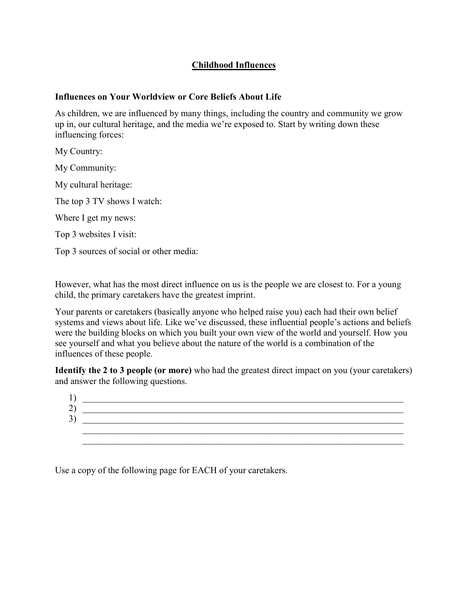## **Childhood Influences**

## **Influences on Your Worldview or Core Beliefs About Life**

As children, we are influenced by many things, including the country and community we grow up in, our cultural heritage, and the media we're exposed to. Start by writing down these influencing forces:

My Country:

My Community:

My cultural heritage:

The top 3 TV shows I watch:

Where I get my news:

Top 3 websites I visit:

Top 3 sources of social or other media:

However, what has the most direct influence on us is the people we are closest to. For a young child, the primary caretakers have the greatest imprint.

Your parents or caretakers (basically anyone who helped raise you) each had their own belief systems and views about life. Like we've discussed, these influential people's actions and beliefs were the building blocks on which you built your own view of the world and yourself. How you see yourself and what you believe about the nature of the world is a combination of the influences of these people.

**Identify the 2 to 3 people (or more)** who had the greatest direct impact on you (your caretakers) and answer the following questions.

| ↩ |  |
|---|--|
| ╯ |  |
|   |  |
|   |  |

Use a copy of the following page for EACH of your caretakers.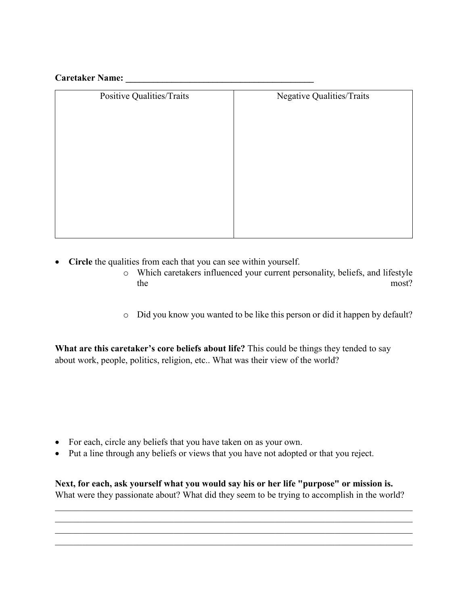## **Caretaker Name: \_\_\_\_\_\_\_\_\_\_\_\_\_\_\_\_\_\_\_\_\_\_\_\_\_\_\_\_\_\_\_\_\_\_\_\_\_\_\_\_\_**

| Positive Qualities/Traits | Negative Qualities/Traits |
|---------------------------|---------------------------|
|                           |                           |
|                           |                           |
|                           |                           |
|                           |                           |
|                           |                           |
|                           |                           |
|                           |                           |
|                           |                           |
|                           |                           |
|                           |                           |
|                           |                           |

- **Circle** the qualities from each that you can see within yourself.
	- o Which caretakers influenced your current personality, beliefs, and lifestyle the most?
	- o Did you know you wanted to be like this person or did it happen by default?

**What are this caretaker's core beliefs about life?** This could be things they tended to say about work, people, politics, religion, etc.. What was their view of the world?

- For each, circle any beliefs that you have taken on as your own.
- Put a line through any beliefs or views that you have not adopted or that you reject.

**Next, for each, ask yourself what you would say his or her life "purpose" or mission is.** What were they passionate about? What did they seem to be trying to accomplish in the world?

\_\_\_\_\_\_\_\_\_\_\_\_\_\_\_\_\_\_\_\_\_\_\_\_\_\_\_\_\_\_\_\_\_\_\_\_\_\_\_\_\_\_\_\_\_\_\_\_\_\_\_\_\_\_\_\_\_\_\_\_\_\_\_\_\_\_\_\_\_\_\_\_\_\_\_\_\_\_  $\_$  , and the set of the set of the set of the set of the set of the set of the set of the set of the set of the set of the set of the set of the set of the set of the set of the set of the set of the set of the set of th